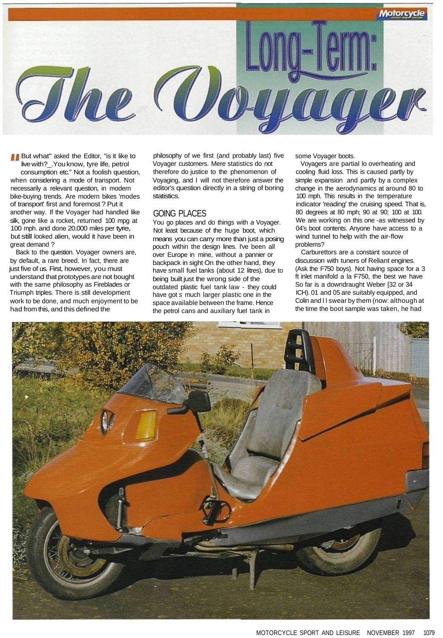

**But what"** asked the Editor, "is it like to live with? . You know, tyre life, petrol consumption etc." Not a foolish question, when considering a mode of transport. Not necessarily a relevant question, in modern bike-buying trends. Are modern bikes 'modes of transport' first and foremost ? Put it another way. If the Voyager had handled like silk, gone like a rocket, returned 100 mpg at 100 mph. and done 20.000 miles per tyre, but still looked alien, would it have been in great demand ?

Back to the question. Voyager owners are, by default, a rare breed. In fact, there are just five of us. First, however, you must understand that prototypes are not bought with the same philosophy as Fireblades or Triumph triples. There is still development work to be done, and much enjoyment to be had from this, and this defined the

philosophy of we first (and probably last) five Voyager customers. Mere statistics do not therefore do justice to the phenomenon of Voyaging, and I will not therefore answer the editor's question directly in a string of boring statistics.

## GOING PLACES

You go places and do things with a Voyager. Not least because of the huge boot, which means you can carry more than just a posing pouch within the design lines. I've been all over Europe in mine, without a pannier or backpack in sight On the other hand, they have small fuel tanks (about 12 litres), due to being built just the wrong side of the outdated plastic fuel tank law - they could have got s much larger plastic one in the space available between the frame. Hence the petrol cans and auxiliary fuel tank in

some Voyager boots.

Voyagers are partial lo overheating and cooling fluid loss. This is caused partly by simple expansion and partly by a complex change in the aerodynamics at around 80 to 100 mph. This results in the temperature indicator 'reading' the cruising speed. That is, 80 degrees at 80 mph; 90 at 90; 100 at 100. We are working on this one -as witnessed by 04's boot contents. Anyone have access to a wind tunnel to help with the air-flow problems?

Carburettors are a constant source of discussion with tuners of Reliant engines. (Ask the F750 boys). Not having space for a 3 ft inlet manifold a la F750, the best we have So far is a downdraught Weber [32 or 34 ICH). 01 and 05 are suitably equipped, and Colin and l I swear by them (now: although at the time the boot sample was taken, he had

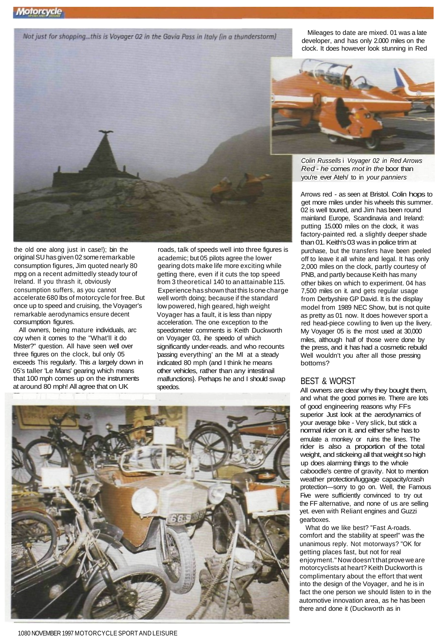Not just for shopping...this is Voyager 02 in the Gavia Pass in Italy (in a thunderstorm)

Mileages to date are mixed. 01 was a late developer, and has only 2.000 miles on the clock. It does however look stunning in Red



the old one along just in case!); bin the original SU has given 02 some remarkable consumption figures, Jim quoted nearly 80 mpg on a recent admittedly steady tour of Ireland. If you thrash it, obviously consumption suffers, as you cannot accelerate 680 Ibs of motorcycle for free. But once up to speed and cruising, the Voyager's remarkable aerodynamics ensure decent consumption figures.

All owners, being mature individuals, arc coy when it comes to the "What'll it do Mister?" question. All have seen well over three figures on the clock, bul only 05 exceeds This regularly. This a largely down in 05's taller 'Le Mans' gearing which means that 100 mph comes up on the instruments at around 80 mph! All agree that on UK

roads, talk of speeds well into three figures is academic; but 05 pilots agree the lower gearing dots make life more exciting while getting there, even if it cuts the top speed from 3 theoretical 140 to an attainable 115. Experience has shown that this Is one charge well worth doing; because if the standard low powered, high geared, high weight Voyager has a fault, it is less than nippy acceleration. The one exception to the speedometer comments is Keith Duckworth on Voyager 03, ihe speedo of which significantly under-reads. and who recounts 'passing everything' an the Ml at a steady indicated 80 mph (and I think he means other vehicles, rather than any intestinail malfunctions}. Perhaps he and I should swap speedos.





Colin Russells i Voyager 02 in Red Arrows Red - he comes mot in the boor than you're ever Ateh/ to in your panniers

Arrows red - as seen at Bristol. Colin hops to get more miles under his wheels this summer. 02 is well toured, and Jim has been round mainland Europe, Scandinavia and Ireland: putting 15.000 miles on the clock, it was factory-painted red. a slightly deeper shade than 01. Keith's 03 was in police trim at purchase, but the transfers have been peeled off to leave it all white and legal. It has only 2,000 miles on the clock, partly courtesy of PNB, and partly because Keith has many other bikes on which to experiment. 04 has 7,500 miles on it. and gets regular usage from Derbyshire GP David. It is the display model from 1989 NEC Show, but is not quite as pretty as 01 now. It does however sport a red head-piece cowling to liven up the livery. My Voyager 05 is the most used at 30,000 miles, although half of those were done by the press, and it has had a cosmetic rebuild Well wouldn't you after all those pressing bottoms?

## BEST & WORST

All owners are clear why they bought them, and what the good pomes ire. There are lots of good engineering reasons why FFs superior Just look at the aerodynamics of your average bike - Very slick, but stick a normal rider on it. and either s/he has to emulate a monkey or ruins the lines. The rider is also a proportion of the total weight, and stickeing all that weight so high up does alarming things to the whole caboodle's centre of gravity. Not to mention weather protection/luggage capacity/crash protection—sorry to go on. Well, the Famous Five were sufficiently convinced to try out the FF alternative, and none of us are selling yet. even with Reliant engines and Guzzi gearboxes.

What do we like best? "Fast A-roads. comfort and the stability at speerl" was the unanimous reply. Not motorways? "OK for getting places fast, but not for real enjoyment." Now doesn't that prove we are motorcyclists at heart? Keith Duckworth is complimentary about the effort that went into the design of the Voyager, and he is in fact the one person we should listen to in the automotive innovation area, as he has been there and done it (Duckworth as in